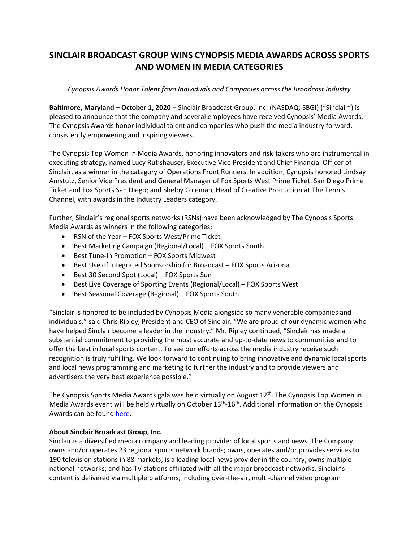## **SINCLAIR BROADCAST GROUP WINS CYNOPSIS MEDIA AWARDS ACROSS SPORTS AND WOMEN IN MEDIA CATEGORIES**

## *Cynopsis Awards Honor Talent from Individuals and Companies across the Broadcast Industry*

**Baltimore, Maryland – October 1, 2020** – Sinclair Broadcast Group, Inc. (NASDAQ: SBGI) ("Sinclair") is pleased to announce that the company and several employees have received Cynopsis' Media Awards. The Cynopsis Awards honor individual talent and companies who push the media industry forward, consistently empowering and inspiring viewers.

The Cynopsis Top Women in Media Awards, honoring innovators and risk-takers who are instrumental in executing strategy, named Lucy Rutishauser, Executive Vice President and Chief Financial Officer of Sinclair, as a winner in the category of Operations Front Runners. In addition, Cynopsis honored Lindsay Amstutz, Senior Vice President and General Manager of Fox Sports West Prime Ticket, San Diego Prime Ticket and Fox Sports San Diego; and Shelby Coleman, Head of Creative Production at The Tennis Channel, with awards in the Industry Leaders category.

Further, Sinclair's regional sports networks (RSNs) have been acknowledged by The Cynopsis Sports Media Awards as winners in the following categories:

- RSN of the Year FOX Sports West/Prime Ticket
- Best Marketing Campaign (Regional/Local) FOX Sports South
- Best Tune-In Promotion FOX Sports Midwest
- Best Use of Integrated Sponsorship for Broadcast FOX Sports Arizona
- Best 30 Second Spot (Local) FOX Sports Sun
- Best Live Coverage of Sporting Events (Regional/Local) FOX Sports West
- Best Seasonal Coverage (Regional) FOX Sports South

"Sinclair is honored to be included by Cynopsis Media alongside so many venerable companies and individuals," said Chris Ripley, President and CEO of Sinclair. "We are proud of our dynamic women who have helped Sinclair become a leader in the industry." Mr. Ripley continued, "Sinclair has made a substantial commitment to providing the most accurate and up-to-date news to communities and to offer the best in local sports content. To see our efforts across the media industry receive such recognition is truly fulfilling. We look forward to continuing to bring innovative and dynamic local sports and local news programming and marketing to further the industry and to provide viewers and advertisers the very best experience possible."

The Cynopsis Sports Media Awards gala was held virtually on August 12<sup>th</sup>. The Cynopsis Top Women in Media Awards event will be held virtually on October 13<sup>th</sup>-16<sup>th</sup>. Additional information on the Cynopsis Awards can be found [here.](https://www.cynopsis.com/events/)

## **About Sinclair Broadcast Group, Inc.**

Sinclair is a diversified media company and leading provider of local sports and news. The Company owns and/or operates 23 regional sports network brands; owns, operates and/or provides services to 190 television stations in 88 markets; is a leading local news provider in the country; owns multiple national networks; and has TV stations affiliated with all the major broadcast networks. Sinclair's content is delivered via multiple platforms, including over-the-air, multi-channel video program